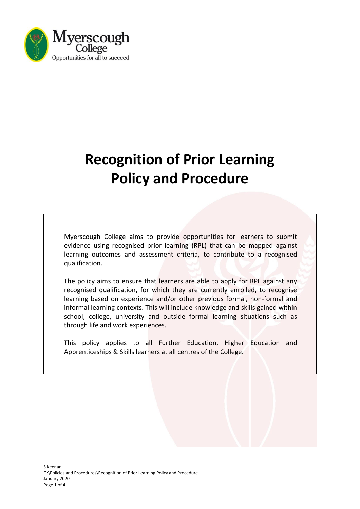

# **Recognition of Prior Learning Policy and Procedure**

Myerscough College aims to provide opportunities for learners to submit evidence using recognised prior learning (RPL) that can be mapped against learning outcomes and assessment criteria, to contribute to a recognised qualification.

The policy aims to ensure that learners are able to apply for RPL against any recognised qualification, for which they are currently enrolled, to recognise learning based on experience and/or other previous formal, non-formal and informal learning contexts. This will include knowledge and skills gained within school, college, university and outside formal learning situations such as through life and work experiences.

This policy applies to all Further Education, Higher Education and Apprenticeships & Skills learners at all centres of the College.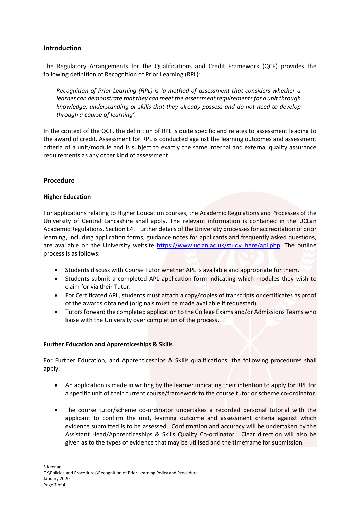# **Introduction**

The Regulatory Arrangements for the Qualifications and Credit Framework (QCF) provides the following definition of Recognition of Prior Learning (RPL):

*Recognition of Prior Learning (RPL) is 'a method of assessment that considers whether a learner can demonstrate that they can meet the assessment requirements for a unit through knowledge, understanding or skills that they already possess and do not need to develop through a course of learning'.*

In the context of the QCF, the definition of RPL is quite specific and relates to assessment leading to the award of credit. Assessment for RPL is conducted against the learning outcomes and assessment criteria of a unit/module and is subject to exactly the same internal and external quality assurance requirements as any other kind of assessment.

## **Procedure**

## **Higher Education**

For applications relating to Higher Education courses, the Academic Regulations and Processes of the University of Central Lancashire shall apply. The relevant information is contained in the UCLan Academic Regulations, Section E4. Further details of the University processesfor accreditation of prior learning, including application forms, guidance notes for applicants and frequently asked questions, are available on the University website [https://www.uclan.ac.uk/study\\_here/apl.php.](https://www.uclan.ac.uk/study_here/apl.php) The outline process is as follows:

- Students discuss with Course Tutor whether APL is available and appropriate for them.
- Students submit a completed APL application form indicating which modules they wish to claim for via their Tutor.
- For Certificated APL, students must attach a copy/copies of transcripts or certificates as proof of the awards obtained (originals must be made available if requested).
- Tutors forward the completed application to the College Exams and/or Admissions Teams who liaise with the University over completion of the process.

## **Further Education and Apprenticeships & Skills**

For Further Education, and Apprenticeships & Skills qualifications, the following procedures shall apply:

- An application is made in writing by the learner indicating their intention to apply for RPL for a specific unit of their current course/framework to the course tutor or scheme co-ordinator.
- The course tutor/scheme co-ordinator undertakes a recorded personal tutorial with the applicant to confirm the unit, learning outcome and assessment criteria against which evidence submitted is to be assessed. Confirmation and accuracy will be undertaken by the Assistant Head/Apprenticeships & Skills Quality Co-ordinator. Clear direction will also be given as to the types of evidence that may be utilised and the timeframe for submission.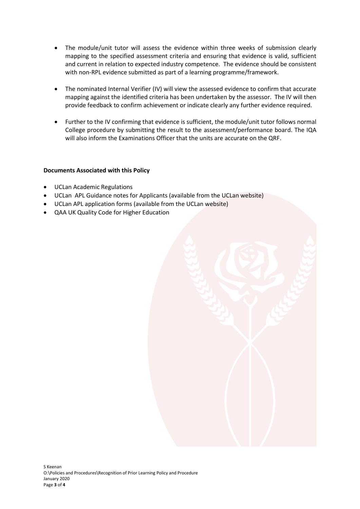- The module/unit tutor will assess the evidence within three weeks of submission clearly mapping to the specified assessment criteria and ensuring that evidence is valid, sufficient and current in relation to expected industry competence. The evidence should be consistent with non-RPL evidence submitted as part of a learning programme/framework.
- The nominated Internal Verifier (IV) will view the assessed evidence to confirm that accurate mapping against the identified criteria has been undertaken by the assessor. The IV will then provide feedback to confirm achievement or indicate clearly any further evidence required.
- Further to the IV confirming that evidence is sufficient, the module/unit tutor follows normal College procedure by submitting the result to the assessment/performance board. The IQA will also inform the Examinations Officer that the units are accurate on the QRF.

## **Documents Associated with this Policy**

- UCLan Academic Regulations
- UCLan APL Guidance notes for Applicants (available from the UCLan website)
- UCLan APL application forms (available from the UCLan website)
- QAA UK Quality Code for Higher Education